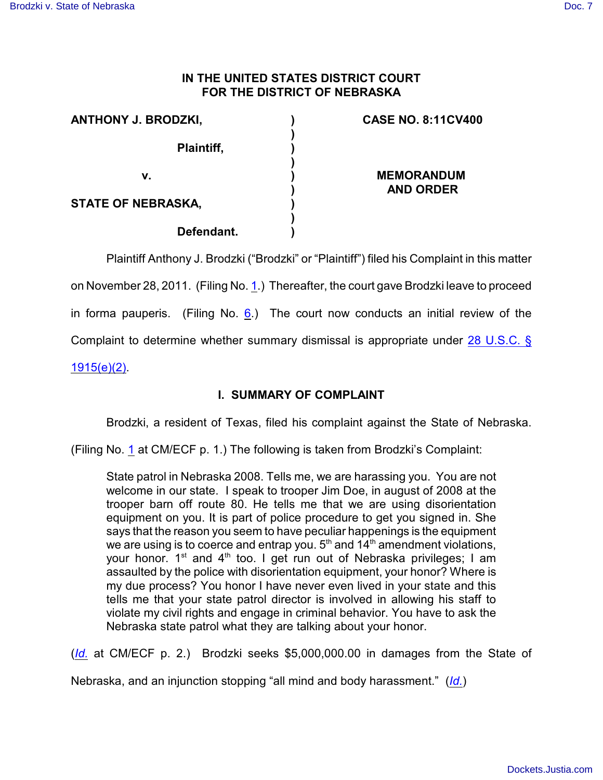## **IN THE UNITED STATES DISTRICT COURT FOR THE DISTRICT OF NEBRASKA**

| <b>ANTHONY J. BRODZKI,</b> | <b>CASE NO. 8:11CV400</b>             |
|----------------------------|---------------------------------------|
| Plaintiff,                 |                                       |
| v.                         | <b>MEMORANDUM</b><br><b>AND ORDER</b> |
| <b>STATE OF NEBRASKA,</b>  |                                       |
| Defendant.                 |                                       |

Plaintiff Anthony J. Brodzki ("Brodzki" or "Plaintiff") filed his Complaint in this matter on November 28, 2011. (Filing No. [1](http://ecf.ned.uscourts.gov/doc1/11302407952).) Thereafter, the court gave Brodzki leave to proceed in forma pauperis. (Filing No.  $6$ .) The court now conducts an initial review of the Complaint to determine whether summary dismissal is appropriate under [28 U.S.C. §](http://www.westlaw.com/find/default.wl?rs=CLWP3.0&vr=2.0&cite=28+USCA+s+1915%28e%29%282%29) [1915\(e\)\(2\)](http://www.westlaw.com/find/default.wl?rs=CLWP3.0&vr=2.0&cite=28+USCA+s+1915%28e%29%282%29).

# **I. SUMMARY OF COMPLAINT**

Brodzki, a resident of Texas, filed his complaint against the State of Nebraska.

(Filing No. [1](http://ecf.ned.uscourts.gov/doc1/11302407952) at CM/ECF p. 1.) The following is taken from Brodzki's Complaint:

State patrol in Nebraska 2008. Tells me, we are harassing you. You are not welcome in our state. I speak to trooper Jim Doe, in august of 2008 at the trooper barn off route 80. He tells me that we are using disorientation equipment on you. It is part of police procedure to get you signed in. She says that the reason you seem to have peculiar happenings is the equipment we are using is to coerce and entrap you.  $5<sup>th</sup>$  and  $14<sup>th</sup>$  amendment violations, your honor. 1<sup>st</sup> and 4<sup>th</sup> too. I get run out of Nebraska privileges; I am assaulted by the police with disorientation equipment, your honor? Where is my due process? You honor I have never even lived in your state and this tells me that your state patrol director is involved in allowing his staff to violate my civil rights and engage in criminal behavior. You have to ask the Nebraska state patrol what they are talking about your honor.

(*[Id.](https://ecf.ned.uscourts.gov/doc1/11312407952)* at CM/ECF p. 2.) Brodzki seeks \$5,000,000.00 in damages from the State of

Nebraska, and an injunction stopping "all mind and body harassment." (*[Id.](https://ecf.ned.uscourts.gov/doc1/11312407952)*)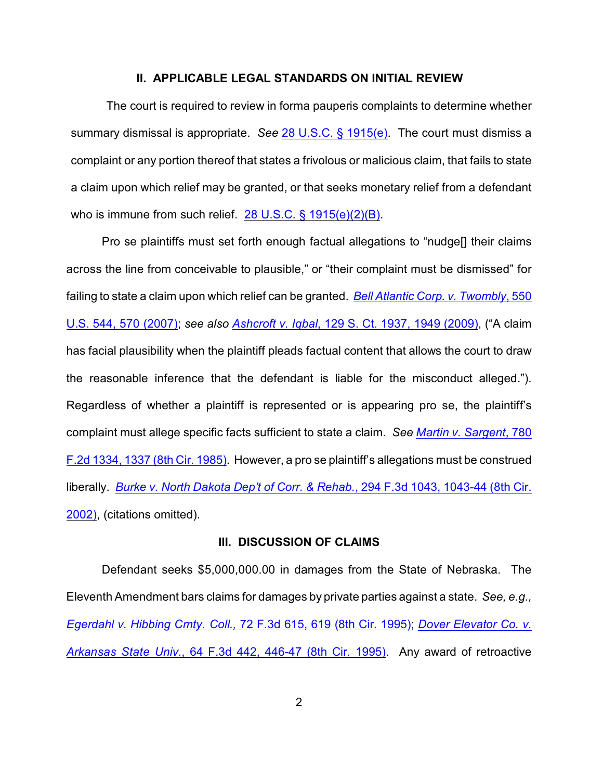#### **II. APPLICABLE LEGAL STANDARDS ON INITIAL REVIEW**

The court is required to review in forma pauperis complaints to determine whether summary dismissal is appropriate. *See* [28 U.S.C. § 1915\(e\)](http://www.westlaw.com/find/default.wl?rs=CLWP3.0&vr=2.0&cite=28+USCA+s+1915%28e%29). The court must dismiss a complaint or any portion thereof that states a frivolous or malicious claim, that fails to state a claim upon which relief may be granted, or that seeks monetary relief from a defendant who is immune from such relief. [28 U.S.C. § 1915\(e\)\(2\)\(B\)](http://www.westlaw.com/find/default.wl?rs=CLWP3.0&vr=2.0&cite=28+USCA+s+1915%28e%29%282%29%28B%29).

Pro se plaintiffs must set forth enough factual allegations to "nudge[] their claims across the line from conceivable to plausible," or "their complaint must be dismissed" for failing to state a claim upon which relief can be granted. *[Bell Atlantic Corp. v. Twombly](http://www.westlaw.com/find/default.wl?rs=CLWP3.0&vr=2.0&cite=550+U.S.+544)*, 550 [U.S. 544, 570 \(2007\)](http://www.westlaw.com/find/default.wl?rs=CLWP3.0&vr=2.0&cite=550+U.S.+544); *see also Ashcroft v. Iqbal*[, 129 S. Ct. 1937, 1949 \(2009\)](http://www.westlaw.com/find/default.wl?rs=CLWP3.0&vr=2.0&cite=129+S.Ct.+1937), ("A claim has facial plausibility when the plaintiff pleads factual content that allows the court to draw the reasonable inference that the defendant is liable for the misconduct alleged."). Regardless of whether a plaintiff is represented or is appearing pro se, the plaintiff's complaint must allege specific facts sufficient to state a claim. *See [Martin v. Sargent](http://www.westlaw.com/find/default.wl?rs=CLWP3.0&vr=2.0&cite=780+F.2d+1334)*, 780 [F.2d 1334, 1337 \(8th Cir. 1985\)](http://www.westlaw.com/find/default.wl?rs=CLWP3.0&vr=2.0&cite=780+F.2d+1334). However, a pro se plaintiff's allegations must be construed liberally. *[Burke v. North Dakota Dep't of Corr. & Rehab.](http://www.westlaw.com/find/default.wl?rs=CLWP3.0&vr=2.0&cite=294+F.3d+1043)*, 294 F.3d 1043, 1043-44 (8th Cir. [2002\)](http://www.westlaw.com/find/default.wl?rs=CLWP3.0&vr=2.0&cite=294+F.3d+1043), (citations omitted).

### **III. DISCUSSION OF CLAIMS**

Defendant seeks \$5,000,000.00 in damages from the State of Nebraska. The Eleventh Amendment bars claims for damages by private parties against a state. *See, e.g., Egerdahl v. Hibbing Cmty. Coll.,* [72 F.3d 615, 619 \(8th Cir. 1995\)](http://www.westlaw.com/find/default.wl?rs=CLWP3.0&vr=2.0&cite=72+F.3d+615); *[Dover Elevator Co. v.](http://www.westlaw.com/find/default.wl?rs=CLWP3.0&vr=2.0&cite=64+F.3d+442) Arkansas State Univ.*[, 64 F.3d 442, 446-47 \(8th Cir. 1995\)](http://www.westlaw.com/find/default.wl?rs=CLWP3.0&vr=2.0&cite=64+F.3d+442). Any award of retroactive